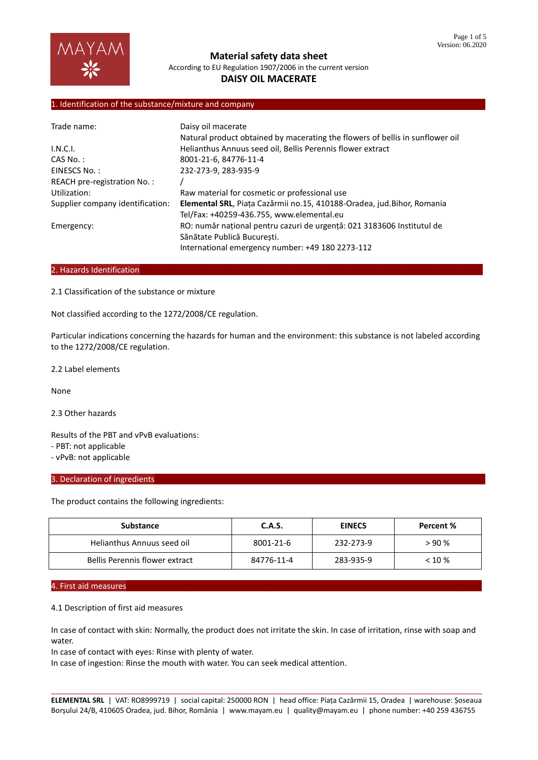

# **DAISY OIL MACERATE**

### 1. Identification of the substance/mixture and company

| Trade name:                      | Daisy oil macerate                                                            |
|----------------------------------|-------------------------------------------------------------------------------|
|                                  | Natural product obtained by macerating the flowers of bellis in sunflower oil |
| I.N.C.I.                         | Helianthus Annuus seed oil, Bellis Perennis flower extract                    |
| CAS No.:                         | 8001-21-6, 84776-11-4                                                         |
| EINESCS No.:                     | 232-273-9, 283-935-9                                                          |
| REACH pre-registration No.:      |                                                                               |
| Utilization:                     | Raw material for cosmetic or professional use                                 |
| Supplier company identification: | Elemental SRL, Piața Cazărmii no.15, 410188-Oradea, jud.Bihor, Romania        |
|                                  | Tel/Fax: +40259-436.755, www.elemental.eu                                     |
| Emergency:                       | RO: număr național pentru cazuri de urgență: 021 3183606 Institutul de        |
|                                  | Sănătate Publică Bucuresti.                                                   |
|                                  | International emergency number: +49 180 2273-112                              |

## 2. Hazards Identification

2.1 Classification of the substance or mixture

Not classified according to the 1272/2008/CE regulation.

Particular indications concerning the hazards for human and the environment: this substance is not labeled according to the 1272/2008/CE regulation.

2.2 Label elements

None

2.3 Other hazards

Results of the PBT and vPvB evaluations:

- PBT: not applicable

- vPvB: not applicable

#### 3. Declaration of ingredients

The product contains the following ingredients:

| Substance                      | C.A.S.     | <b>EINECS</b> | Percent % |
|--------------------------------|------------|---------------|-----------|
| Helianthus Annuus seed oil     | 8001-21-6  | 232-273-9     | >90%      |
| Bellis Perennis flower extract | 84776-11-4 | 283-935-9     | $< 10 \%$ |

### 4. First aid measures

4.1 Description of first aid measures

In case of contact with skin: Normally, the product does not irritate the skin. In case of irritation, rinse with soap and water.

In case of contact with eyes: Rinse with plenty of water.

In case of ingestion: Rinse the mouth with water. You can seek medical attention.

\_\_\_\_\_\_\_\_\_\_\_\_\_\_\_\_\_\_\_\_\_\_\_\_\_\_\_\_\_\_\_\_\_\_\_\_\_\_\_\_\_\_\_\_\_\_\_\_\_\_\_\_\_\_\_\_\_\_\_\_\_\_\_\_\_\_\_\_\_\_\_\_\_\_\_\_\_\_\_\_\_\_\_\_\_\_\_\_\_\_\_\_\_\_\_\_ **ELEMENTAL SRL** | VAT: RO8999719 | social capital: 250000 RON | head office: Piața Cazărmii 15, Oradea | warehouse: Șoseaua Borșului 24/B, 410605 Oradea, jud. Bihor, România | www.mayam.eu | quality@mayam.eu | phone number: +40 259 436755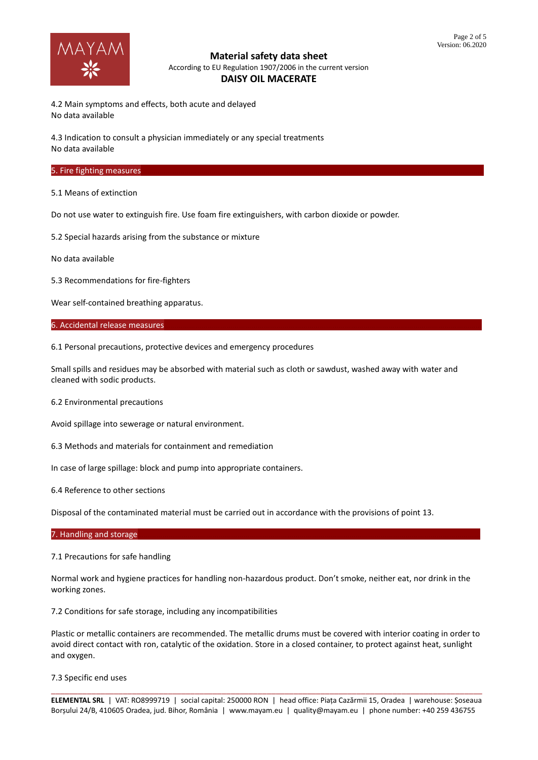

4.2 Main symptoms and effects, both acute and delayed No data available

4.3 Indication to consult a physician immediately or any special treatments No data available

### 5. Fire fighting measures

5.1 Means of extinction

Do not use water to extinguish fire. Use foam fire extinguishers, with carbon dioxide or powder.

5.2 Special hazards arising from the substance or mixture

No data available

5.3 Recommendations for fire-fighters

Wear self-contained breathing apparatus.

6. Accidental release measures

6.1 Personal precautions, protective devices and emergency procedures

Small spills and residues may be absorbed with material such as cloth or sawdust, washed away with water and cleaned with sodic products.

6.2 Environmental precautions

Avoid spillage into sewerage or natural environment.

6.3 Methods and materials for containment and remediation

In case of large spillage: block and pump into appropriate containers.

6.4 Reference to other sections

Disposal of the contaminated material must be carried out in accordance with the provisions of point 13.

### 7. Handling and storage

7.1 Precautions for safe handling

Normal work and hygiene practices for handling non-hazardous product. Don't smoke, neither eat, nor drink in the working zones.

7.2 Conditions for safe storage, including any incompatibilities

Plastic or metallic containers are recommended. The metallic drums must be covered with interior coating in order to avoid direct contact with ron, catalytic of the oxidation. Store in a closed container, to protect against heat, sunlight and oxygen.

7.3 Specific end uses

\_\_\_\_\_\_\_\_\_\_\_\_\_\_\_\_\_\_\_\_\_\_\_\_\_\_\_\_\_\_\_\_\_\_\_\_\_\_\_\_\_\_\_\_\_\_\_\_\_\_\_\_\_\_\_\_\_\_\_\_\_\_\_\_\_\_\_\_\_\_\_\_\_\_\_\_\_\_\_\_\_\_\_\_\_\_\_\_\_\_\_\_\_\_\_\_ **ELEMENTAL SRL** | VAT: RO8999719 | social capital: 250000 RON | head office: Piața Cazărmii 15, Oradea | warehouse: Șoseaua Borșului 24/B, 410605 Oradea, jud. Bihor, România | www.mayam.eu | quality@mayam.eu | phone number: +40 259 436755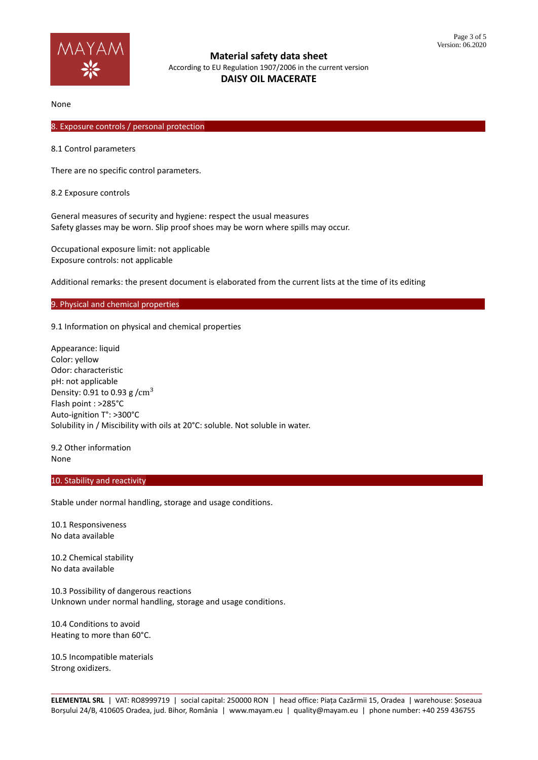

None

## 8. Exposure controls / personal protection

8.1 Control parameters

There are no specific control parameters.

8.2 Exposure controls

General measures of security and hygiene: respect the usual measures Safety glasses may be worn. Slip proof shoes may be worn where spills may occur.

Occupational exposure limit: not applicable Exposure controls: not applicable

Additional remarks: the present document is elaborated from the current lists at the time of its editing

#### 9. Physical and chemical properties

9.1 Information on physical and chemical properties

Appearance: liquid Color: yellow Odor: characteristic pH: not applicable Density: 0.91 to 0.93 g  $/cm<sup>3</sup>$ Flash point : >285°C Auto-ignition T°: >300°C Solubility in / Miscibility with oils at 20°C: soluble. Not soluble in water.

9.2 Other information None

### 10. Stability and reactivity

Stable under normal handling, storage and usage conditions.

10.1 Responsiveness No data available

10.2 Chemical stability No data available

10.3 Possibility of dangerous reactions Unknown under normal handling, storage and usage conditions.

10.4 Conditions to avoid Heating to more than 60°C.

10.5 Incompatible materials Strong oxidizers.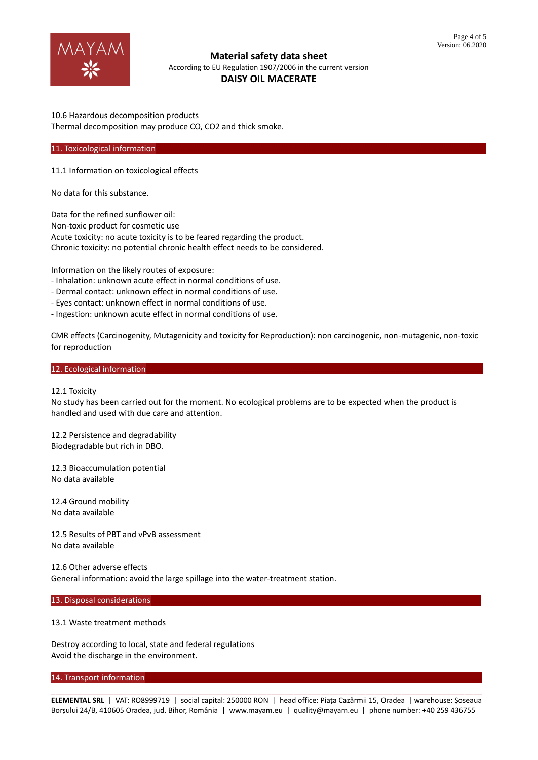

### 10.6 Hazardous decomposition products Thermal decomposition may produce CO, CO2 and thick smoke.

#### 11. Toxicological information

11.1 Information on toxicological effects

No data for this substance.

Data for the refined sunflower oil: Non-toxic product for cosmetic use Acute toxicity: no acute toxicity is to be feared regarding the product. Chronic toxicity: no potential chronic health effect needs to be considered.

Information on the likely routes of exposure:

- Inhalation: unknown acute effect in normal conditions of use.
- Dermal contact: unknown effect in normal conditions of use.
- Eyes contact: unknown effect in normal conditions of use.
- Ingestion: unknown acute effect in normal conditions of use.

CMR effects (Carcinogenity, Mutagenicity and toxicity for Reproduction): non carcinogenic, non-mutagenic, non-toxic for reproduction

## 12. Ecological information

#### 12.1 Toxicity

No study has been carried out for the moment. No ecological problems are to be expected when the product is handled and used with due care and attention.

12.2 Persistence and degradability Biodegradable but rich in DBO.

12.3 Bioaccumulation potential No data available

12.4 Ground mobility No data available

12.5 Results of PBT and vPvB assessment No data available

12.6 Other adverse effects General information: avoid the large spillage into the water-treatment station.

## 13. Disposal considerations

#### 13.1 Waste treatment methods

Destroy according to local, state and federal regulations Avoid the discharge in the environment.

#### 14. Transport information

\_\_\_\_\_\_\_\_\_\_\_\_\_\_\_\_\_\_\_\_\_\_\_\_\_\_\_\_\_\_\_\_\_\_\_\_\_\_\_\_\_\_\_\_\_\_\_\_\_\_\_\_\_\_\_\_\_\_\_\_\_\_\_\_\_\_\_\_\_\_\_\_\_\_\_\_\_\_\_\_\_\_\_\_\_\_\_\_\_\_\_\_\_\_\_\_ **ELEMENTAL SRL** | VAT: RO8999719 | social capital: 250000 RON | head office: Piața Cazărmii 15, Oradea | warehouse: Șoseaua Borșului 24/B, 410605 Oradea, jud. Bihor, România | www.mayam.eu | quality@mayam.eu | phone number: +40 259 436755